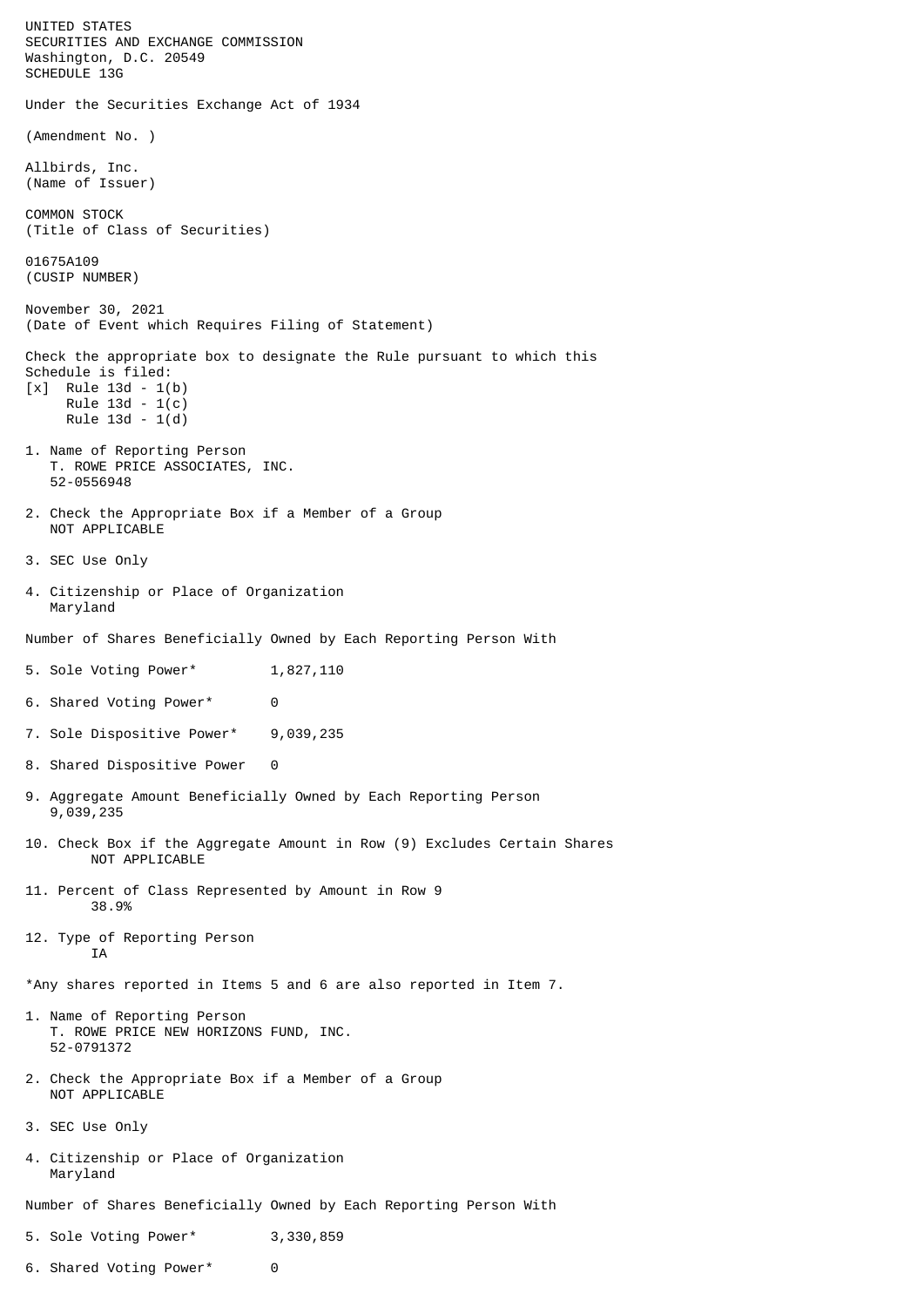UNITED STATES SECURITIES AND EXCHANGE COMMISSION Washington, D.C. 20549 SCHEDULE 13G Under the Securities Exchange Act of 1934 (Amendment No. ) Allbirds, Inc. (Name of Issuer) COMMON STOCK (Title of Class of Securities) 01675A109 (CUSIP NUMBER) November 30, 2021 (Date of Event which Requires Filing of Statement) Check the appropriate box to designate the Rule pursuant to which this Schedule is filed: [x] Rule 13d - 1(b) Rule 13d - 1(c) Rule 13d - 1(d) 1. Name of Reporting Person T. ROWE PRICE ASSOCIATES, INC. 52-0556948 2. Check the Appropriate Box if a Member of a Group NOT APPLICABLE 3. SEC Use Only 4. Citizenship or Place of Organization Maryland Number of Shares Beneficially Owned by Each Reporting Person With 5. Sole Voting Power\* 1,827,110 6. Shared Voting Power\* 0 7. Sole Dispositive Power\* 9,039,235 8. Shared Dispositive Power 0 9. Aggregate Amount Beneficially Owned by Each Reporting Person 9,039,235 10. Check Box if the Aggregate Amount in Row (9) Excludes Certain Shares NOT APPLICABLE 11. Percent of Class Represented by Amount in Row 9 38.9% 12. Type of Reporting Person **TA** \*Any shares reported in Items 5 and 6 are also reported in Item 7. 1. Name of Reporting Person T. ROWE PRICE NEW HORIZONS FUND, INC. 52-0791372 2. Check the Appropriate Box if a Member of a Group NOT APPLICABLE 3. SEC Use Only 4. Citizenship or Place of Organization Maryland Number of Shares Beneficially Owned by Each Reporting Person With 5. Sole Voting Power\* 3,330,859

6. Shared Voting Power\* 0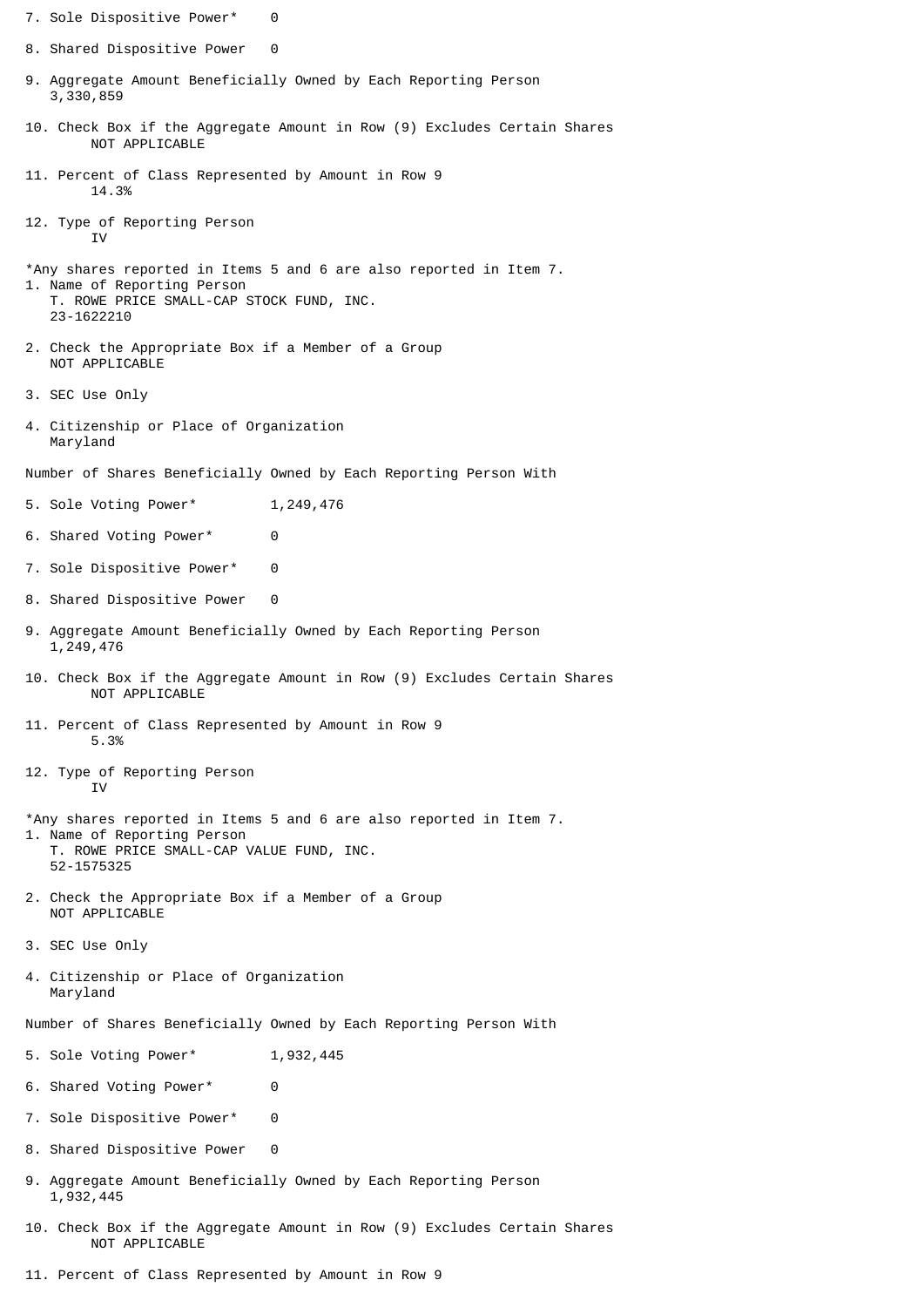- 7. Sole Dispositive Power\* 0
- 8. Shared Dispositive Power 0
- 9. Aggregate Amount Beneficially Owned by Each Reporting Person 3,330,859
- 10. Check Box if the Aggregate Amount in Row (9) Excludes Certain Shares NOT APPLICABLE
- 11. Percent of Class Represented by Amount in Row 9 14.3%
- 12. Type of Reporting Person T<sub>V</sub>
- \*Any shares reported in Items 5 and 6 are also reported in Item 7. 1. Name of Reporting Person T. ROWE PRICE SMALL-CAP STOCK FUND, INC. 23-1622210
- 2. Check the Appropriate Box if a Member of a Group NOT APPLICABLE
- 3. SEC Use Only
- 4. Citizenship or Place of Organization Maryland

Number of Shares Beneficially Owned by Each Reporting Person With

- 5. Sole Voting Power\* 1,249,476
- 6. Shared Voting Power\* 0
- 7. Sole Dispositive Power\* 0
- 8. Shared Dispositive Power 0
- 9. Aggregate Amount Beneficially Owned by Each Reporting Person 1,249,476
- 10. Check Box if the Aggregate Amount in Row (9) Excludes Certain Shares NOT APPLICABLE
- 11. Percent of Class Represented by Amount in Row 9 5.3%
- 12. Type of Reporting Person IV
- \*Any shares reported in Items 5 and 6 are also reported in Item 7. 1. Name of Reporting Person T. ROWE PRICE SMALL-CAP VALUE FUND, INC. 52-1575325
- 2. Check the Appropriate Box if a Member of a Group NOT APPLICABLE
- 3. SEC Use Only
- 4. Citizenship or Place of Organization Maryland
- Number of Shares Beneficially Owned by Each Reporting Person With
- 5. Sole Voting Power\* 1,932,445
- 6. Shared Voting Power\* 0
- 7. Sole Dispositive Power\* 0
- 8. Shared Dispositive Power 0
- 9. Aggregate Amount Beneficially Owned by Each Reporting Person 1,932,445
- 10. Check Box if the Aggregate Amount in Row (9) Excludes Certain Shares NOT APPLICABLE
- 11. Percent of Class Represented by Amount in Row 9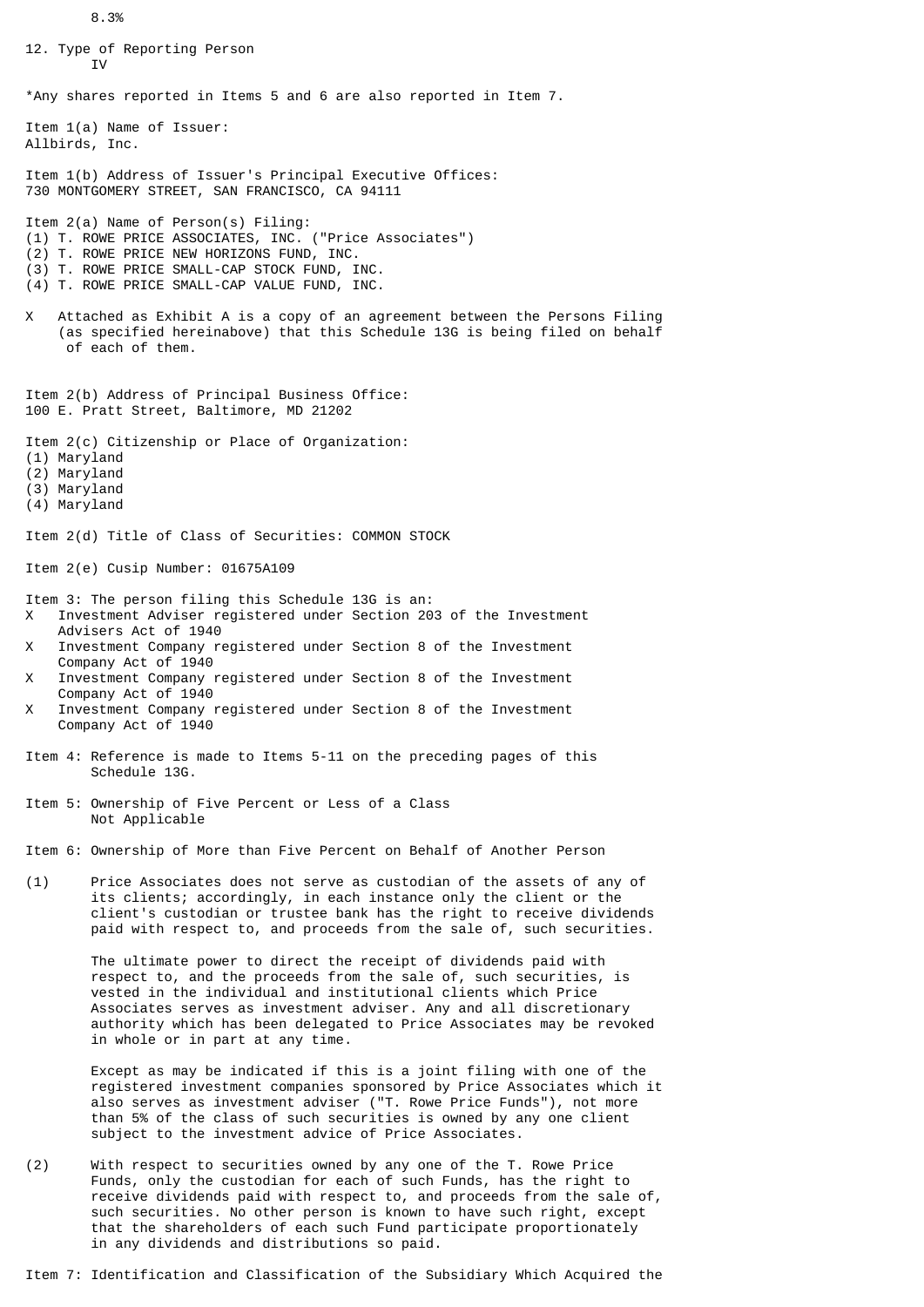8.3%

12. Type of Reporting Person T<sub>V</sub> \*Any shares reported in Items 5 and 6 are also reported in Item 7. Item 1(a) Name of Issuer: Allbirds, Inc. Item 1(b) Address of Issuer's Principal Executive Offices: 730 MONTGOMERY STREET, SAN FRANCISCO, CA 94111 Item 2(a) Name of Person(s) Filing: (1) T. ROWE PRICE ASSOCIATES, INC. ("Price Associates") (2) T. ROWE PRICE NEW HORIZONS FUND, INC. (3) T. ROWE PRICE SMALL-CAP STOCK FUND, INC. (4) T. ROWE PRICE SMALL-CAP VALUE FUND, INC. X Attached as Exhibit A is a copy of an agreement between the Persons Filing (as specified hereinabove) that this Schedule 13G is being filed on behalf of each of them. Item 2(b) Address of Principal Business Office: 100 E. Pratt Street, Baltimore, MD 21202 Item 2(c) Citizenship or Place of Organization: (1) Maryland (2) Maryland (3) Maryland (4) Maryland Item 2(d) Title of Class of Securities: COMMON STOCK Item 2(e) Cusip Number: 01675A109 Item 3: The person filing this Schedule 13G is an: X Investment Adviser registered under Section 203 of the Investment Advisers Act of 1940 X Investment Company registered under Section 8 of the Investment Company Act of 1940 X Investment Company registered under Section 8 of the Investment Company Act of 1940 X Investment Company registered under Section 8 of the Investment Company Act of 1940 Item 4: Reference is made to Items 5-11 on the preceding pages of this Schedule 13G. Item 5: Ownership of Five Percent or Less of a Class Not Applicable Item 6: Ownership of More than Five Percent on Behalf of Another Person (1) Price Associates does not serve as custodian of the assets of any of its clients; accordingly, in each instance only the client or the client's custodian or trustee bank has the right to receive dividends paid with respect to, and proceeds from the sale of, such securities. The ultimate power to direct the receipt of dividends paid with respect to, and the proceeds from the sale of, such securities, is vested in the individual and institutional clients which Price Associates serves as investment adviser. Any and all discretionary authority which has been delegated to Price Associates may be revoked in whole or in part at any time. Except as may be indicated if this is a joint filing with one of the registered investment companies sponsored by Price Associates which it also serves as investment adviser ("T. Rowe Price Funds"), not more than 5% of the class of such securities is owned by any one client subject to the investment advice of Price Associates. (2) With respect to securities owned by any one of the T. Rowe Price Funds, only the custodian for each of such Funds, has the right to receive dividends paid with respect to, and proceeds from the sale of,

Item 7: Identification and Classification of the Subsidiary Which Acquired the

in any dividends and distributions so paid.

 such securities. No other person is known to have such right, except that the shareholders of each such Fund participate proportionately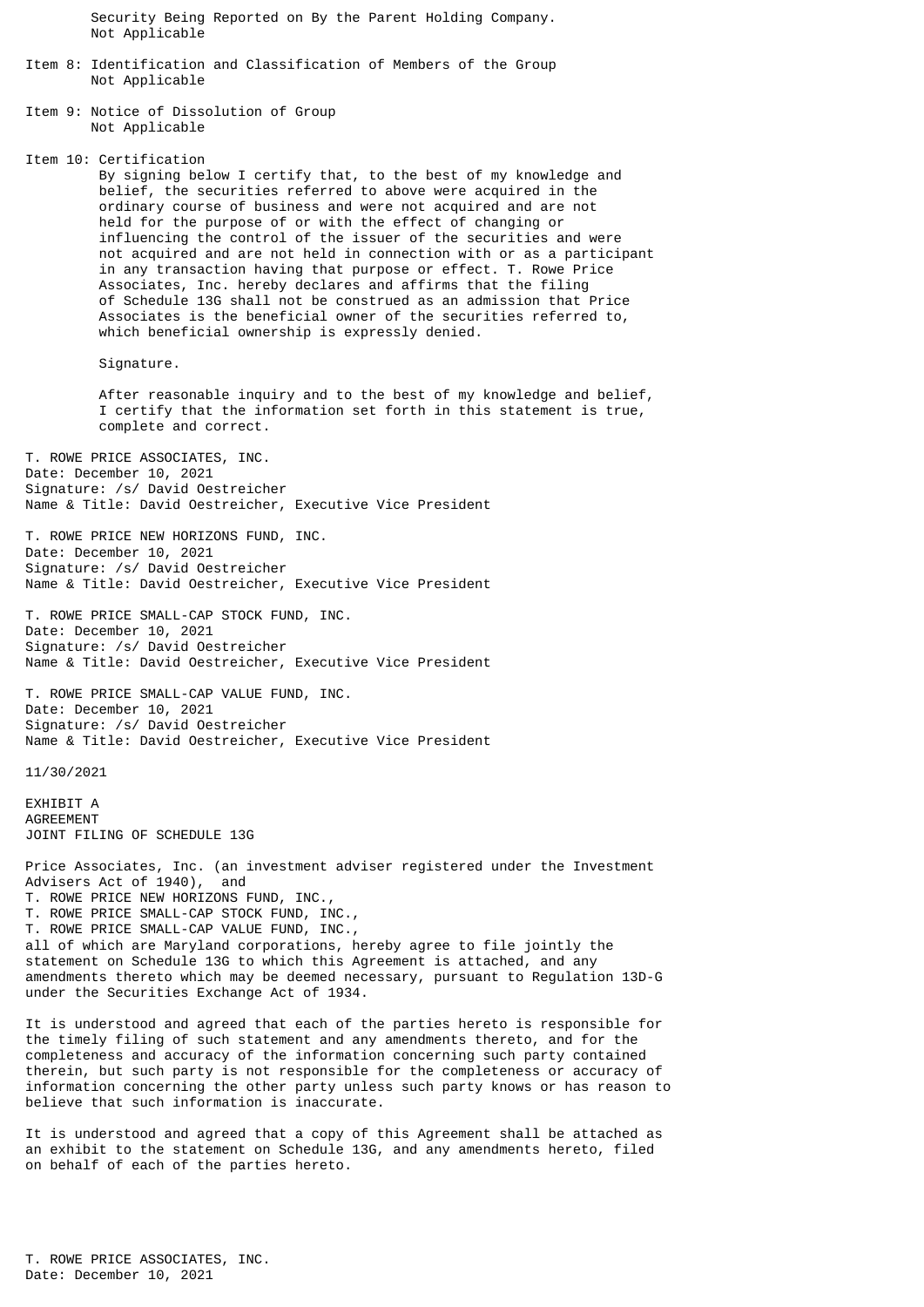Security Being Reported on By the Parent Holding Company. Not Applicable

- Item 8: Identification and Classification of Members of the Group Not Applicable
- Item 9: Notice of Dissolution of Group Not Applicable

Item 10: Certification

 By signing below I certify that, to the best of my knowledge and belief, the securities referred to above were acquired in the ordinary course of business and were not acquired and are not held for the purpose of or with the effect of changing or influencing the control of the issuer of the securities and were not acquired and are not held in connection with or as a participant in any transaction having that purpose or effect. T. Rowe Price Associates, Inc. hereby declares and affirms that the filing of Schedule 13G shall not be construed as an admission that Price Associates is the beneficial owner of the securities referred to, which beneficial ownership is expressly denied.

Signature.

 After reasonable inquiry and to the best of my knowledge and belief, I certify that the information set forth in this statement is true, complete and correct.

T. ROWE PRICE ASSOCIATES, INC. Date: December 10, 2021 Signature: /s/ David Oestreicher Name & Title: David Oestreicher, Executive Vice President

T. ROWE PRICE NEW HORIZONS FUND, INC. Date: December 10, 2021 Signature: /s/ David Oestreicher Name & Title: David Oestreicher, Executive Vice President

T. ROWE PRICE SMALL-CAP STOCK FUND, INC. Date: December 10, 2021 Signature: /s/ David Oestreicher Name & Title: David Oestreicher, Executive Vice President

T. ROWE PRICE SMALL-CAP VALUE FUND, INC. Date: December 10, 2021 Signature: /s/ David Oestreicher Name & Title: David Oestreicher, Executive Vice President

11/30/2021

EXHIBIT A AGREEMENT JOINT FILING OF SCHEDULE 13G

Price Associates, Inc. (an investment adviser registered under the Investment Advisers Act of 1940), and T. ROWE PRICE NEW HORIZONS FUND, INC., T. ROWE PRICE SMALL-CAP STOCK FUND, INC., T. ROWE PRICE SMALL-CAP VALUE FUND, INC., all of which are Maryland corporations, hereby agree to file jointly the statement on Schedule 13G to which this Agreement is attached, and any amendments thereto which may be deemed necessary, pursuant to Regulation 13D-G under the Securities Exchange Act of 1934.

It is understood and agreed that each of the parties hereto is responsible for the timely filing of such statement and any amendments thereto, and for the completeness and accuracy of the information concerning such party contained therein, but such party is not responsible for the completeness or accuracy of information concerning the other party unless such party knows or has reason to believe that such information is inaccurate.

It is understood and agreed that a copy of this Agreement shall be attached as an exhibit to the statement on Schedule 13G, and any amendments hereto, filed on behalf of each of the parties hereto.